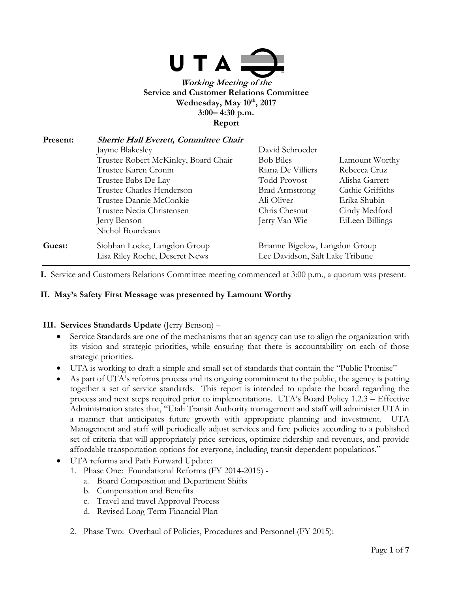

**Working Meeting of the Service and Customer Relations Committee Wednesday, May 10th, 2017 3:00– 4:30 p.m. Report**

| Present: | Sherrie Hall Everett, Committee Chair                             |                                |                  |
|----------|-------------------------------------------------------------------|--------------------------------|------------------|
|          | Jayme Blakesley                                                   | David Schroeder                |                  |
|          | Trustee Robert McKinley, Board Chair                              | <b>Bob Biles</b>               | Lamount Worthy   |
|          | Trustee Karen Cronin                                              | Riana De Villiers              | Rebecca Cruz     |
|          | Trustee Babs De Lay                                               | <b>Todd Provost</b>            | Alisha Garrett   |
|          | Trustee Charles Henderson                                         | <b>Brad Armstrong</b>          | Cathie Griffiths |
|          | Trustee Dannie McConkie                                           | Ali Oliver                     | Erika Shubin     |
|          | Trustee Necia Christensen                                         | Chris Chesnut                  | Cindy Medford    |
|          | Jerry Benson                                                      | Jerry Van Wie                  | EiLeen Billings  |
|          | Nichol Bourdeaux                                                  |                                |                  |
| Guest:   | Siobhan Locke, Langdon Group                                      | Brianne Bigelow, Langdon Group |                  |
|          | Lee Davidson, Salt Lake Tribune<br>Lisa Riley Roche, Deseret News |                                |                  |

**I.** Service and Customers Relations Committee meeting commenced at 3:00 p.m., a quorum was present.

#### **II. May's Safety First Message was presented by Lamount Worthy**

#### **III. Services Standards Update** (Jerry Benson) –

- Service Standards are one of the mechanisms that an agency can use to align the organization with its vision and strategic priorities, while ensuring that there is accountability on each of those strategic priorities.
- UTA is working to draft a simple and small set of standards that contain the "Public Promise"
- As part of UTA's reforms process and its ongoing commitment to the public, the agency is putting together a set of service standards. This report is intended to update the board regarding the process and next steps required prior to implementations. UTA's Board Policy 1.2.3 – Effective Administration states that, "Utah Transit Authority management and staff will administer UTA in a manner that anticipates future growth with appropriate planning and investment. UTA Management and staff will periodically adjust services and fare policies according to a published set of criteria that will appropriately price services, optimize ridership and revenues, and provide affordable transportation options for everyone, including transit-dependent populations."
- UTA reforms and Path Forward Update:
	- 1. Phase One: Foundational Reforms (FY 2014-2015)
		- a. Board Composition and Department Shifts
		- b. Compensation and Benefits
		- c. Travel and travel Approval Process
		- d. Revised Long-Term Financial Plan
	- 2. Phase Two: Overhaul of Policies, Procedures and Personnel (FY 2015):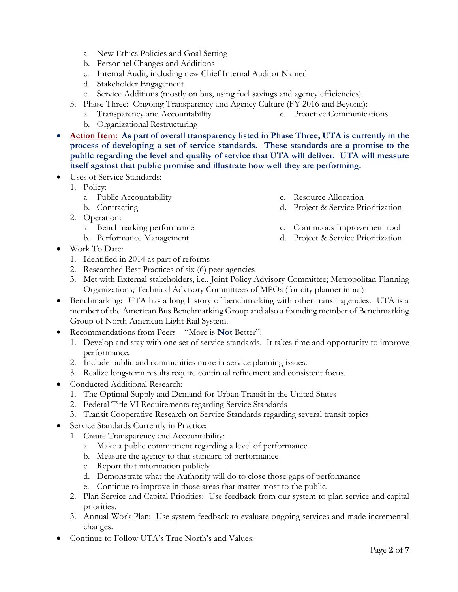- a. New Ethics Policies and Goal Setting
- b. Personnel Changes and Additions
- c. Internal Audit, including new Chief Internal Auditor Named
- d. Stakeholder Engagement
- e. Service Additions (mostly on bus, using fuel savings and agency efficiencies).
- 3. Phase Three: Ongoing Transparency and Agency Culture (FY 2016 and Beyond):
	- a. Transparency and Accountability c. Proactive Communications.
	- b. Organizational Restructuring
- Action Item: As part of overall transparency listed in Phase Three, UTA is currently in the **process of developing a set of service standards. These standards are a promise to the public regarding the level and quality of service that UTA will deliver. UTA will measure itself against that public promise and illustrate how well they are performing.**
- Uses of Service Standards:
	- 1. Policy:
		- a. Public Accountability
		- b. Contracting
	- 2. Operation:
		- a. Benchmarking performance
		- b. Performance Management
- Work To Date:
	- 1. Identified in 2014 as part of reforms
	- 2. Researched Best Practices of six (6) peer agencies
	- 3. Met with External stakeholders, i.e., Joint Policy Advisory Committee; Metropolitan Planning Organizations; Technical Advisory Committees of MPOs (for city planner input)
- Benchmarking: UTA has a long history of benchmarking with other transit agencies. UTA is a member of the American Bus Benchmarking Group and also a founding member of Benchmarking Group of North American Light Rail System.
- Recommendations from Peers "More is **Not** Better":
	- 1. Develop and stay with one set of service standards. It takes time and opportunity to improve performance.
	- 2. Include public and communities more in service planning issues.
	- 3. Realize long-term results require continual refinement and consistent focus.
- Conducted Additional Research:
	- 1. The Optimal Supply and Demand for Urban Transit in the United States
	- 2. Federal Title VI Requirements regarding Service Standards
	- 3. Transit Cooperative Research on Service Standards regarding several transit topics
- Service Standards Currently in Practice:
	- 1. Create Transparency and Accountability:
		- a. Make a public commitment regarding a level of performance
		- b. Measure the agency to that standard of performance
		- c. Report that information publicly
		- d. Demonstrate what the Authority will do to close those gaps of performance
		- e. Continue to improve in those areas that matter most to the public.
	- 2. Plan Service and Capital Priorities: Use feedback from our system to plan service and capital priorities.
	- 3. Annual Work Plan: Use system feedback to evaluate ongoing services and made incremental changes.
- Continue to Follow UTA's True North's and Values:

c. Continuous Improvement tool d. Project & Service Prioritization

d. Project & Service Prioritization

c. Resource Allocation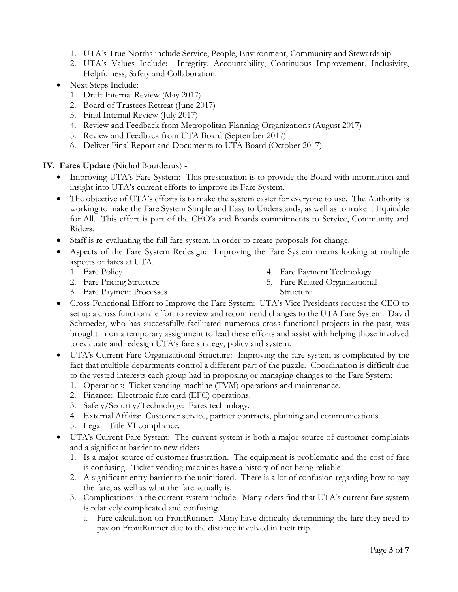- 1. UTA's True Norths include Service, People, Environment, Community and Stewardship.
- 2. UTA's Values Include: Integrity, Accountability, Continuous Improvement, Inclusivity, Helpfulness, Safety and Collaboration.
- Next Steps Include:
	- 1. Draft Internal Review (May 2017)
	- 2. Board of Trustees Retreat (June 2017)
	- 3. Final Internal Review (July 2017)
	- 4. Review and Feedback from Metropolitan Planning Organizations (August 2017)
	- 5. Review and Feedback from UTA Board (September 2017)
	- 6. Deliver Final Report and Documents to UTA Board (October 2017)

**IV. Fares Update** (Nichol Bourdeaux) -

- Improving UTA's Fare System: This presentation is to provide the Board with information and insight into UTA's current efforts to improve its Fare System.
- The objective of UTA's efforts is to make the system easier for everyone to use. The Authority is working to make the Fare System Simple and Easy to Understands, as well as to make it Equitable for All. This effort is part of the CEO's and Boards commitments to Service, Community and Riders.
- Staff is re-evaluating the full fare system, in order to create proposals for change.
- Aspects of the Fare System Redesign: Improving the Fare System means looking at multiple aspects of fares at UTA.
	- 1. Fare Policy
- 4. Fare Payment Technology
- 5. Fare Related Organizational Structure
- 2. Fare Pricing Structure 3. Fare Payment Processes
- Cross-Functional Effort to Improve the Fare System: UTA's Vice Presidents request the CEO to set up a cross functional effort to review and recommend changes to the UTA Fare System. David Schroeder, who has successfully facilitated numerous cross-functional projects in the past, was brought in on a temporary assignment to lead these efforts and assist with helping those involved to evaluate and redesign UTA's fare strategy, policy and system.
- UTA's Current Fare Organizational Structure: Improving the fare system is complicated by the fact that multiple departments control a different part of the puzzle. Coordination is difficult due to the vested interests each group had in proposing or managing changes to the Fare System:
	- 1. Operations: Ticket vending machine (TVM) operations and maintenance.
	- 2. Finance: Electronic fare card (EFC) operations.
	- 3. Safety/Security/Technology: Fares technology.
	- 4. External Affairs: Customer service, partner contracts, planning and communications.
	- 5. Legal: Title VI compliance.
- UTA's Current Fare System: The current system is both a major source of customer complaints and a significant barrier to new riders
	- 1. Is a major source of customer frustration. The equipment is problematic and the cost of fare is confusing. Ticket vending machines have a history of not being reliable
	- 2. A significant entry barrier to the uninitiated. There is a lot of confusion regarding how to pay the fare, as well as what the fare actually is.
	- 3. Complications in the current system include: Many riders find that UTA's current fare system is relatively complicated and confusing.
		- a. Fare calculation on FrontRunner: Many have difficulty determining the fare they need to pay on FrontRunner due to the distance involved in their trip.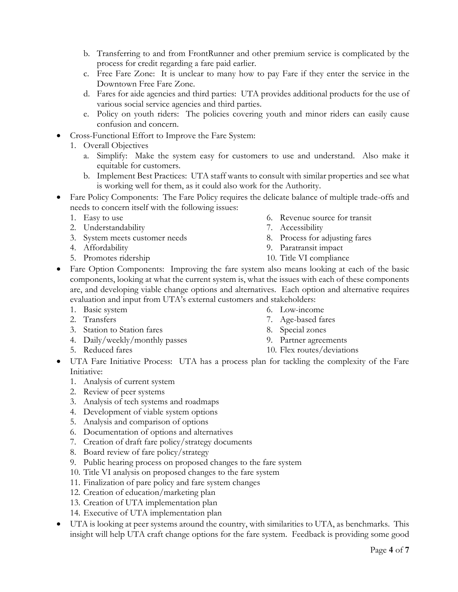- b. Transferring to and from FrontRunner and other premium service is complicated by the process for credit regarding a fare paid earlier.
- c. Free Fare Zone: It is unclear to many how to pay Fare if they enter the service in the Downtown Free Fare Zone.
- d. Fares for aide agencies and third parties: UTA provides additional products for the use of various social service agencies and third parties.
- e. Policy on youth riders: The policies covering youth and minor riders can easily cause confusion and concern.
- Cross-Functional Effort to Improve the Fare System:
	- 1. Overall Objectives
		- a. Simplify: Make the system easy for customers to use and understand. Also make it equitable for customers.
		- b. Implement Best Practices: UTA staff wants to consult with similar properties and see what is working well for them, as it could also work for the Authority.
- Fare Policy Components: The Fare Policy requires the delicate balance of multiple trade-offs and needs to concern itself with the following issues:
	- 1. Easy to use
	- 2. Understandability
	- 3. System meets customer needs
	- 4. Affordability
	- 5. Promotes ridership
- 6. Revenue source for transit
- 7. Accessibility
- 8. Process for adjusting fares
- 9. Paratransit impact
- 10. Title VI compliance
- Fare Option Components: Improving the fare system also means looking at each of the basic components, looking at what the current system is, what the issues with each of these components are, and developing viable change options and alternatives. Each option and alternative requires evaluation and input from UTA's external customers and stakeholders:
	- 1. Basic system
	- 2. Transfers
	- 3. Station to Station fares
	- 4. Daily/weekly/monthly passes
	- 5. Reduced fares
- 6. Low-income
- 7. Age-based fares
- 8. Special zones
- 9. Partner agreements
- 10. Flex routes/deviations
- UTA Fare Initiative Process: UTA has a process plan for tackling the complexity of the Fare Initiative:
	- 1. Analysis of current system
	- 2. Review of peer systems
	- 3. Analysis of tech systems and roadmaps
	- 4. Development of viable system options
	- 5. Analysis and comparison of options
	- 6. Documentation of options and alternatives
	- 7. Creation of draft fare policy/strategy documents
	- 8. Board review of fare policy/strategy
	- 9. Public hearing process on proposed changes to the fare system
	- 10. Title VI analysis on proposed changes to the fare system
	- 11. Finalization of pare policy and fare system changes
	- 12. Creation of education/marketing plan
	- 13. Creation of UTA implementation plan
	- 14. Executive of UTA implementation plan
- UTA is looking at peer systems around the country, with similarities to UTA, as benchmarks. This insight will help UTA craft change options for the fare system. Feedback is providing some good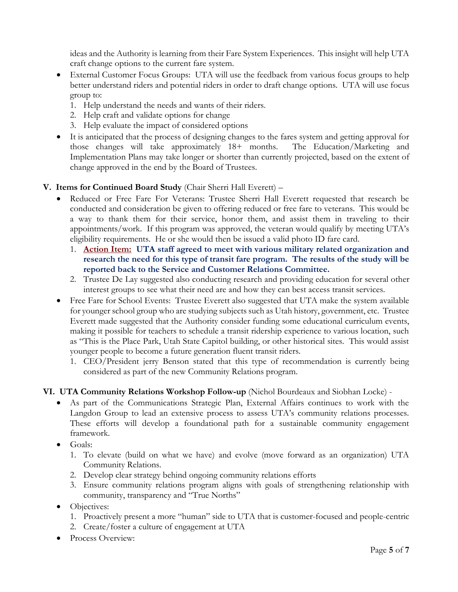ideas and the Authority is learning from their Fare System Experiences. This insight will help UTA craft change options to the current fare system.

- External Customer Focus Groups: UTA will use the feedback from various focus groups to help better understand riders and potential riders in order to draft change options. UTA will use focus group to:
	- 1. Help understand the needs and wants of their riders.
	- 2. Help craft and validate options for change
	- 3. Help evaluate the impact of considered options
- It is anticipated that the process of designing changes to the fares system and getting approval for those changes will take approximately 18+ months. The Education/Marketing and Implementation Plans may take longer or shorter than currently projected, based on the extent of change approved in the end by the Board of Trustees.

## **V. Items for Continued Board Study** (Chair Sherri Hall Everett) –

- Reduced or Free Fare For Veterans: Trustee Sherri Hall Everett requested that research be conducted and consideration be given to offering reduced or free fare to veterans. This would be a way to thank them for their service, honor them, and assist them in traveling to their appointments/work. If this program was approved, the veteran would qualify by meeting UTA's eligibility requirements. He or she would then be issued a valid photo ID fare card.
	- 1. **Action Item: UTA staff agreed to meet with various military related organization and research the need for this type of transit fare program. The results of the study will be reported back to the Service and Customer Relations Committee.**
	- 2. Trustee De Lay suggested also conducting research and providing education for several other interest groups to see what their need are and how they can best access transit services.
- Free Fare for School Events: Trustee Everett also suggested that UTA make the system available for younger school group who are studying subjects such as Utah history, government, etc. Trustee Everett made suggested that the Authority consider funding some educational curriculum events, making it possible for teachers to schedule a transit ridership experience to various location, such as "This is the Place Park, Utah State Capitol building, or other historical sites. This would assist younger people to become a future generation fluent transit riders.
	- 1. CEO/President jerry Benson stated that this type of recommendation is currently being considered as part of the new Community Relations program.

## **VI. UTA Community Relations Workshop Follow-up** (Nichol Bourdeaux and Siobhan Locke) -

- As part of the Communications Strategic Plan, External Affairs continues to work with the Langdon Group to lead an extensive process to assess UTA's community relations processes. These efforts will develop a foundational path for a sustainable community engagement framework.
- Goals:
	- 1. To elevate (build on what we have) and evolve (move forward as an organization) UTA Community Relations.
	- 2. Develop clear strategy behind ongoing community relations efforts
	- 3. Ensure community relations program aligns with goals of strengthening relationship with community, transparency and "True Norths"
- Objectives:
	- 1. Proactively present a more "human" side to UTA that is customer-focused and people-centric
	- 2. Create/foster a culture of engagement at UTA
- Process Overview: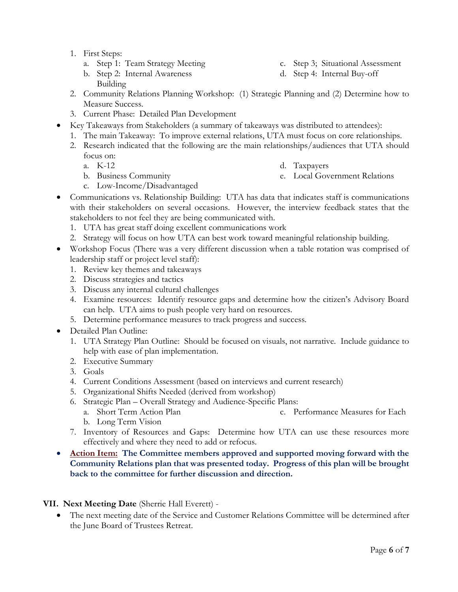- 1. First Steps:
	- a. Step 1: Team Strategy Meeting
	- b. Step 2: Internal Awareness Building
- 2. Community Relations Planning Workshop: (1) Strategic Planning and (2) Determine how to Measure Success.
- 3. Current Phase: Detailed Plan Development
- Key Takeaways from Stakeholders (a summary of takeaways was distributed to attendees):
	- 1. The main Takeaway: To improve external relations, UTA must focus on core relationships.
	- 2. Research indicated that the following are the main relationships/audiences that UTA should focus on:
		- a. K-12

d. Taxpayers

b. Business Community

e. Local Government Relations

- c. Low-Income/Disadvantaged
- Communications vs. Relationship Building: UTA has data that indicates staff is communications with their stakeholders on several occasions. However, the interview feedback states that the stakeholders to not feel they are being communicated with.
	- 1. UTA has great staff doing excellent communications work
	- 2. Strategy will focus on how UTA can best work toward meaningful relationship building.
- Workshop Focus (There was a very different discussion when a table rotation was comprised of leadership staff or project level staff):
	- 1. Review key themes and takeaways
	- 2. Discuss strategies and tactics
	- 3. Discuss any internal cultural challenges
	- 4. Examine resources: Identify resource gaps and determine how the citizen's Advisory Board can help. UTA aims to push people very hard on resources.
	- 5. Determine performance measures to track progress and success.
- Detailed Plan Outline:
	- 1. UTA Strategy Plan Outline: Should be focused on visuals, not narrative. Include guidance to help with ease of plan implementation.
	- 2. Executive Summary
	- 3. Goals
	- 4. Current Conditions Assessment (based on interviews and current research)
	- 5. Organizational Shifts Needed (derived from workshop)
	- 6. Strategic Plan Overall Strategy and Audience-Specific Plans:
		- a. Short Term Action Plan b. Long Term Vision c. Performance Measures for Each
	- 7. Inventory of Resources and Gaps: Determine how UTA can use these resources more effectively and where they need to add or refocus.

# **Action Item: The Committee members approved and supported moving forward with the Community Relations plan that was presented today. Progress of this plan will be brought back to the committee for further discussion and direction.**

# **VII. Next Meeting Date** (Sherrie Hall Everett) -

 The next meeting date of the Service and Customer Relations Committee will be determined after the June Board of Trustees Retreat.

- c. Step 3; Situational Assessment
- d. Step 4: Internal Buy-off